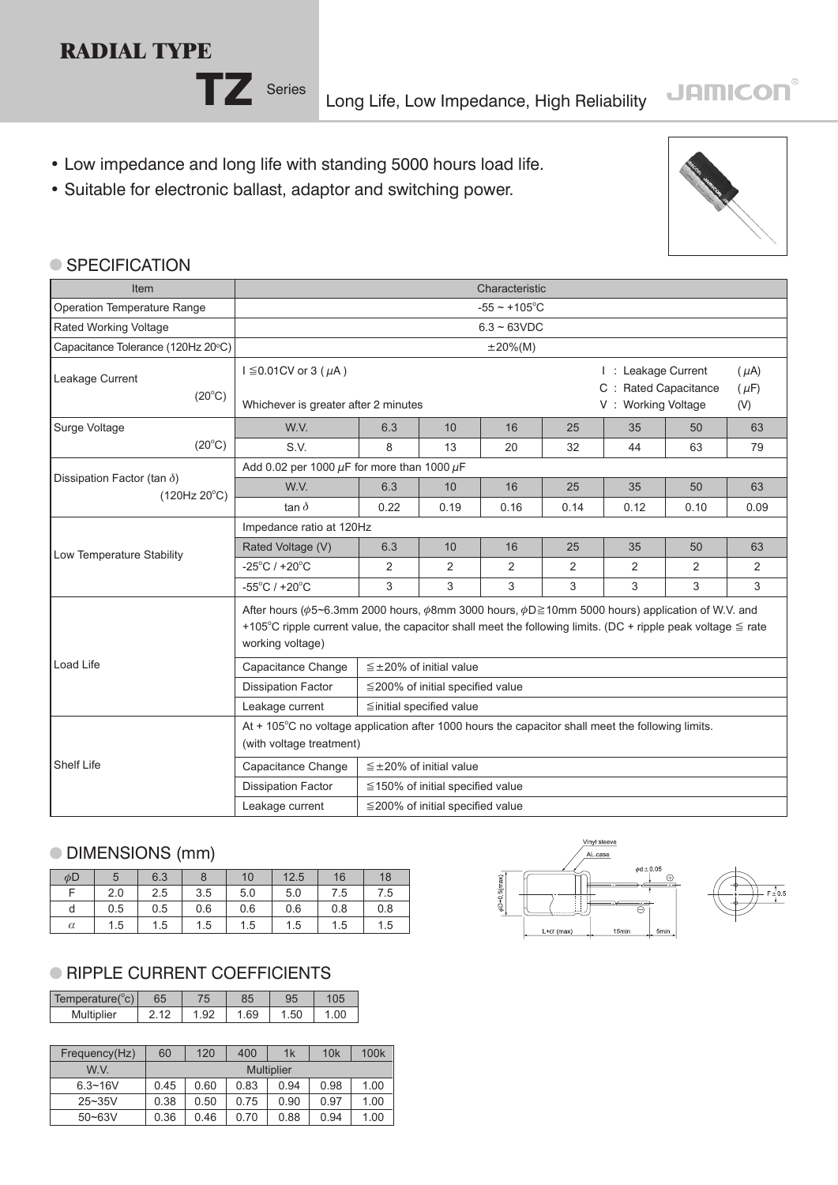## **RADIAL TYPE**



**TZ** Series Long Life, Low Impedance, High Reliability

- Low impedance and long life with standing 5000 hours load life.
- Suitable for electronic ballast, adaptor and switching power.



**JAMICON®** 

#### ● SPECIFICATION

| Item                                                                                                                                                               | Characteristic                                                                                                                                                                                                                                             |      |                                        |                                                                                             |      |      |      |      |  |  |
|--------------------------------------------------------------------------------------------------------------------------------------------------------------------|------------------------------------------------------------------------------------------------------------------------------------------------------------------------------------------------------------------------------------------------------------|------|----------------------------------------|---------------------------------------------------------------------------------------------|------|------|------|------|--|--|
| Operation Temperature Range                                                                                                                                        |                                                                                                                                                                                                                                                            |      |                                        | $-55 \sim +105$ °C                                                                          |      |      |      |      |  |  |
| Rated Working Voltage                                                                                                                                              |                                                                                                                                                                                                                                                            |      |                                        | $6.3 - 63VDC$                                                                               |      |      |      |      |  |  |
| Capacitance Tolerance (120Hz 20°C)                                                                                                                                 |                                                                                                                                                                                                                                                            |      |                                        | $\pm 20\%$ (M)                                                                              |      |      |      |      |  |  |
| Leakage Current<br>$(20^{\circ}C)$<br>Surge Voltage<br>$(20^{\circ}C)$<br>Dissipation Factor (tan $\delta$ )<br>$(120Hz 20^{\circ}C)$<br>Low Temperature Stability | $I \leq 0.01$ CV or 3 ( $\mu$ A)<br>Whichever is greater after 2 minutes                                                                                                                                                                                   |      |                                        | I: Leakage Current<br>$(\mu A)$<br>C : Rated Capacitance<br>$(\mu F)$<br>V: Working Voltage |      |      |      |      |  |  |
|                                                                                                                                                                    |                                                                                                                                                                                                                                                            |      |                                        |                                                                                             |      |      |      | (V)  |  |  |
|                                                                                                                                                                    | W.V.                                                                                                                                                                                                                                                       | 6.3  | 10                                     | 16                                                                                          | 25   | 35   | 50   | 63   |  |  |
|                                                                                                                                                                    | S.V.                                                                                                                                                                                                                                                       | 8    | 13                                     | 20                                                                                          | 32   | 44   | 63   | 79   |  |  |
|                                                                                                                                                                    | Add 0.02 per 1000 $\mu$ F for more than 1000 $\mu$ F                                                                                                                                                                                                       |      |                                        |                                                                                             |      |      |      |      |  |  |
|                                                                                                                                                                    | W.V.                                                                                                                                                                                                                                                       | 6.3  | 10                                     | 16                                                                                          | 25   | 35   | 50   | 63   |  |  |
|                                                                                                                                                                    | tan $\delta$                                                                                                                                                                                                                                               | 0.22 | 0.19                                   | 0.16                                                                                        | 0.14 | 0.12 | 0.10 | 0.09 |  |  |
|                                                                                                                                                                    | Impedance ratio at 120Hz                                                                                                                                                                                                                                   |      |                                        |                                                                                             |      |      |      |      |  |  |
|                                                                                                                                                                    | Rated Voltage (V)                                                                                                                                                                                                                                          | 6.3  | 10                                     | 16                                                                                          | 25   | 35   | 50   | 63   |  |  |
|                                                                                                                                                                    | $-25^{\circ}$ C / +20 $^{\circ}$ C                                                                                                                                                                                                                         | 2    | 2                                      | $\overline{2}$                                                                              | 2    | 2    | 2    | 2    |  |  |
|                                                                                                                                                                    | $-55^{\circ}$ C / $+20^{\circ}$ C                                                                                                                                                                                                                          | 3    | 3                                      | 3                                                                                           | 3    | 3    | 3    | 3    |  |  |
|                                                                                                                                                                    | After hours ( $\phi$ 5~6.3mm 2000 hours, $\phi$ 8mm 3000 hours, $\phi$ D≥10mm 5000 hours) application of W.V. and<br>+105°C ripple current value, the capacitor shall meet the following limits. (DC + ripple peak voltage $\leq$ rate<br>working voltage) |      |                                        |                                                                                             |      |      |      |      |  |  |
| <b>Load Life</b>                                                                                                                                                   | Capacitance Change                                                                                                                                                                                                                                         |      | $\leq \pm 20\%$ of initial value       |                                                                                             |      |      |      |      |  |  |
|                                                                                                                                                                    | <b>Dissipation Factor</b>                                                                                                                                                                                                                                  |      | $\leq$ 200% of initial specified value |                                                                                             |      |      |      |      |  |  |
|                                                                                                                                                                    | Leakage current                                                                                                                                                                                                                                            |      | ≦initial specified value               |                                                                                             |      |      |      |      |  |  |
|                                                                                                                                                                    | At + 105°C no voltage application after 1000 hours the capacitor shall meet the following limits.<br>(with voltage treatment)                                                                                                                              |      |                                        |                                                                                             |      |      |      |      |  |  |
| <b>Shelf Life</b>                                                                                                                                                  | Capacitance Change                                                                                                                                                                                                                                         |      | $\leq \pm 20\%$ of initial value       |                                                                                             |      |      |      |      |  |  |
|                                                                                                                                                                    | <b>Dissipation Factor</b>                                                                                                                                                                                                                                  |      | $\leq$ 150% of initial specified value |                                                                                             |      |      |      |      |  |  |
|                                                                                                                                                                    | Leakage current                                                                                                                                                                                                                                            |      | $\leq$ 200% of initial specified value |                                                                                             |      |      |      |      |  |  |

### DIMENSIONS (mm)

| $\phi$ D | 5   | 6.3 | 8   | 10  | 12.5 | 16  | 18  |
|----------|-----|-----|-----|-----|------|-----|-----|
|          | 2.0 | 2.5 | 3.5 | 5.0 | 5.0  | 7.5 | 7.5 |
| d        | 0.5 | 0.5 | 0.6 | 0.6 | 0.6  | 0.8 | 0.8 |
| $\alpha$ | 1.5 | 1.5 | 1.5 | 1.5 | 1.5  | 1.5 | 1.5 |

### **RIPPLE CURRENT COEFFICIENTS**

| Temperature(°c) | 65 | טנ |     |  |
|-----------------|----|----|-----|--|
| Multiplier      |    | 69 | .50 |  |

| Frequency(Hz) | 60   | 120               | 400  | 1k   | 10k  | 100 <sub>k</sub> |  |  |  |
|---------------|------|-------------------|------|------|------|------------------|--|--|--|
| W V           |      | <b>Multiplier</b> |      |      |      |                  |  |  |  |
| $6.3 - 16V$   | 0.45 | 0.60              | 0.83 | 0.94 | 0.98 | 1.00             |  |  |  |
| $25 - 35V$    | 0.38 | 0.50              | 0.75 | 0.90 | 0.97 | 1.00             |  |  |  |
| $50 - 63V$    | 0.36 | 0.46              | 0.70 | 0.88 | 0.94 | 1.00             |  |  |  |